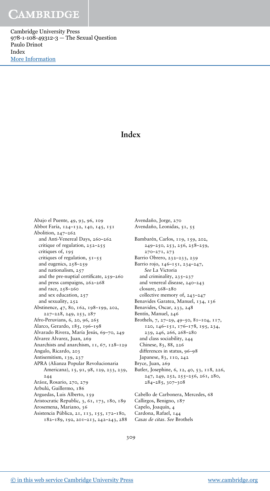Cambridge University Press 978-1-108-49312-3 — The Sexual Question Paulo Drinot Index [More Information](www.cambridge.org/9781108493123)

## **Index**

Abajo el Puente, 49, 93, 96, 109 Abbot Faría, 124–132, 140, 145, 151 Abolition, 247–262 and Anti-Venereal Days, 260–262 critique of regulation, 252–255 critiques of, 195 critiques of regulation,  $51-55$ and eugenics, 258–259 and nationalism, 257 and the pre-nuptial certificate, 259–260 and press campaigns, 262–268 and race, 258–260 and sex education, 257 and sexuality, 252 Abstinence, 47, 80, 162, 198–199, 202, 227–228, 249, 253, 287 Afro-Peruvians, 6, 20, 96, 265 Alarco, Gerardo, 185, 196–198 Alvarado Rivera, María Jesús, 69–70, 249 Alvarez Alvarez, Juan, 269 Anarchists and anarchism, 11, 67, 128-129 Angulo, Ricardo, 203 Antisemitism, 139, 237 APRA (Alianza Popular Revolucionaria Americana), 15, 91, 98, 129, 233, 239, 244 Aráoz, Rosario, 270, 279 Arbulú, Guillermo, 186 Arguedas, Luis Alberto, 159 Aristocratic Republic, 3, 61, 173, 180, 189 Arosemena, Mariano, 36 Asistencia Pública, 21, 113, 155, 172–180, 182–189, 192, 201–213, 242–243, 288

Avendaño, Jorge, 270 Avendaño, Leonidas, 51, 55 Bambarén, Carlos, 119, 159, 202, 249–250, 253, 256, 258–259, 270–271, 273 Barrio Obrero, 232–233, 239 Barrio rojo, 146–151, 234–247, *See* La Victoria and criminality, 235–237 and venereal disease, 240–243 closure, 268–280 collective memory of, 243–247 Benavides Garatea, Manuel, 134, 136 Benavides, Oscar, 233, 248 Bentín, Manuel, 246 Brothels, 7, 27–29, 49–50, 81–104, 117, 120, 146–151, 176–178, 195, 234, 239, 246, 266, 268–280 and class sociability, 244 Chinese, 83, 88, 226 differences in status, 96–98 Japanese, 83, 110, 242 Bryce, Juan, 269 Butler, Josephine, 6, 12, 40, 53, 118, 226, 247, 249, 252, 255–256, 261, 280, 284–285, 307–308 Cabello de Carbonera, Mercedes, 68 Callirgos, Benigno, 187

Capelo, Joaquín, 4 Cardona, Rafael, 144 *Casas de citas*. *See* Brothels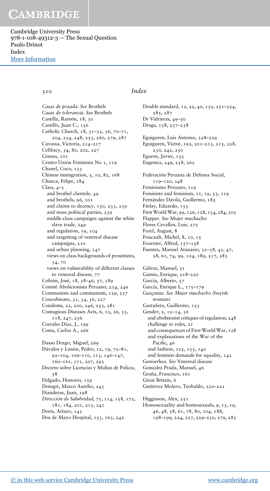Cambridge University Press 978-1-108-49312-3 — The Sexual Question Paulo Drinot Index [More Information](www.cambridge.org/9781108493123)

*Casas de posada*. *See* Brothels *Casas de tolerancia*. *See* Brothels Castilla, Ramón, 18, 30 Castillo, Juan C., 156 Catholic Church, 18, 31–32, 36, 70–71, 204, 234, 248, 253, 260, 279, 287 Cavassa, Victoria, 214–217 Celibacy, 54, 80, 202, 227 Census, 101 Centro Unión Feminista No 1, 119 Chanel, Coco, 133 Chinese immigration, 5, 10, 82, 168 Chueca, Felipe, 184 Class,  $4-5$ and brothel clientele, 49 and brothels, 96, 101 and claims to decency, 150, 233, 239 and mass political parties, 239 middle-class campaigns against the white slave trade, 249 and regulation, 19, 104 and targetting of venereal disease campaigns, 210 and urban planning, 147 views on class backgrounds of prostitutes, 34, 70 views on vulnerability of different classes to venereal disease, 77 Cobián, José, 18, 38–46, 57, 189 Comité Abolicionista Peruano, 234, 249 Communists and communism, 129, 237 Concubinato, *31*, *34*, *36*, *227* Condoms, 22, 200, 246, 253, 281 Contagious Diseases Acts, 6, 12, 26, 53, 118, 247, 256 Corrales Díaz, J., 199 Costa, Carlos A., 266 Dasso Drago, Miguel, 269 Dávalos y Lissón, Pedro, 12, 19, 72–81, 92–104, 109–110, 113, 146–147, 160–161, 171, 207, 293 Decreto sobre Licencias y Multas de Policia, 58 Delgado, Honorio, 159 Denegri, Marco Aurelio, 243 Dianderas, Juan, 198 *Dirección de Salubridad*, 73, 114, 158, 172, 181, 184, 201, 213, 241 Doris, Arturo, 143 Dos de Mayo Hospital, 153, 163, 242

#### 310 *Index*

Double standard, 12, 22, 40, 132, 251–254, 285, 287 Dr Vidrieras, 49–50 Drugs, 138, 237–238 Eguiguren, Luis Antonio, 228–229 Eguiguren, Víctor, 192, 201–213, 215, 228, 230, 242, 250 Eguren, Javier, 153 Eugenics, 249, 258, 262 Federación Peruana de Defensa Social, 119–120, 248 Feminismo Peruano, 119 Feminists and feminism, 11, 19, 53, 119 Fernández Dávila, Guillermo, 185 Finlay, Eduardo, 155 First World War, 99, 126, 128, 134, 284, 305 Flapper. *See* Mujer muchacho Flores Cevallos, Luis, 272 Forel, August, 8 Foucault, Michel, 8, 10, 15 Fournier, Alfred, 157-158 Fuentes, Manuel Atanasio, 32–38, 43, 47, 58, 61, 74, 99, 104, 189, 217, 283 Gálvez, Manuel, 51 Gamio, Enrique, 218–220 García, Alberto, 57 García, Enrique L., 175–179 Garçonne. *See Mujer muchacho* (boyish woman) Gastañeta, Guillermo, 153 Gender, 5, 12–14, 36 and abolitionist critiques of regulation, 248 challenge to roles, 21 and consequences of First World War, 128 and explanations of the War of the Pacific, 46 and fashion, 125, 135, 140 and feminist demands for equality, 142 Gonorrhea. *See* Venereal disease Gonzalez Prada, Manuel, 46 Graña, Francisco, 161 Great Britain, 6 Gutiérrez Molero, Teobaldo, 220–221 Higginson, Alex, 251 Homosexuality and homosexuals, 9, 13, 19, 46, 48, 58, 61, 78, 80, 104, 188, 198–199, 224, 227, 229–230, 279, 285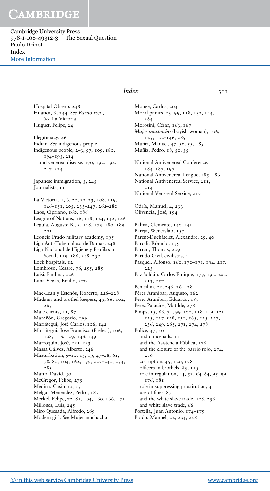Cambridge University Press 978-1-108-49312-3 — The Sexual Question Paulo Drinot Index [More Information](www.cambridge.org/9781108493123)

> Hospital Obrero, 248 Huatica, 6, 244, *See Barrio rojo*, *See* La Victoria Huguet, Felipe, 24

Illegitimacy, 46 Indian. *See* indigenous people Indigenous people, 2–3, 97, 109, 180, 194–195, 214 and venereal disease, 170, 192, 194, 217–224

Japanese immigration, 5, 245 Journalists, 11

La Victoria, 1, 6, 20, 22–23, 108, 119, 146–151, 205, 233–247, 262–280 Laos, Cipriano, 160, 186 League of Nations, 16, 118, 124, 132, 146 Leguía, Augusto B., 3, 128, 173, 180, 189,  $2.01$ Leoncio Prado military academy, 195 Liga Anti-Tuberculosa de Damas, 248 Liga Nacional de Higiene y Profilaxia Social, 119, 186, 248–250 Lock hospitals, 12 Lombroso, Cesare, 76, 255, 285 Luisi, Paulina, 226 Luna Vegas, Emilio, 270 Mac-Lean y Estenós, Roberto, 226–228 Madams and brothel keepers, 49, 86, 102, 265 Male clients, 11, 87 Marañón, Gregorio, 199 Mariátegui, José Carlos, 106, 142 Mariátegui, José Francisco (Prefect), 106, 108, 116, 129, 146, 149 Marroquín, José, 221–223 Massa Gálvez, Alberto, 246 Masturbation, 9–10, 13, 19, 47–48, 61, 78, 80, 104, 162, 199, 227–230, 253, 285 Matto, David, 50 McGregor, Felipe, 279 Medina, Casimiro, 55 Melgar Menéndez, Pedro, 187 Merkel, Felipe, 72–81, 104, 160, 166, 171 Millones, Luis, 245 Miro Quesada, Alfredo, 269 Modern girl. *See* Mujer muchacho

### *Index* 3II

Monge, Carlos, 203 Moral panics, 23, 99, 118, 132, 144, 284 Morosini, César, 163, 167 *Mujer muchacho* (boyish woman), 106, 125, 132–146, 285 Muñiz, Manuel, 47, 50, 55, 189 Muñiz, Pedro, 18, 50, 55 National Antivenereal Conference, 184–187, 197 National Antivenereal League, 185-186 National Antivenereal Service, 211, 214 National Venereal Service, 217 Odría, Manuel, 4, 233 Olivencia, José, 194 Palma, Clemente, 140-141 Pareja, Wenceslao, 157 Parent-Duchâtelet, Alexandre, 29, 40 Parodi, Rómulo, 159 Parran, Thomas, 209 Partido Civil, civilistas, 4 Pasquel, Alfonso, 160, 170–171, 194, 217, 223 Paz Soldán, Carlos Enrique, 179, 193, 203, 213, 257 Penicillin, 22, 246, 261, 281 Pérez Aranibar, Augusto, 162 Pérez Aranibar, Eduardo, 187 Pérez Palacios, Matilde, 278 Pimps, 15, 66, 71, 99-100, 118-119, 121, 125, 127–128, 131, 185, 225–227, 236, 249, 265, 271, 274, 278 Police, 37, 50 and dancehalls, III and the Asistencia Pública, 176 and the closure of the barrio rojo, 274, 276 corruption, 45, 120, 178 officers in brothels, 83, 115 role in regulation, 44, 52, 64, 84, 95, 99, 176, 181 role in suppressing prostitution, 41 use of fines, 87 and the white slave trade, 128, 236 and white slave trade, 66 Portella, Juan Antonio, 174–175 Prado, Manuel, 22, 233, 248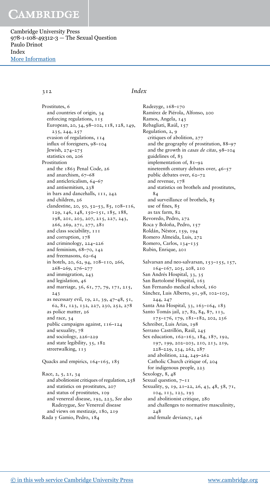Cambridge University Press 978-1-108-49312-3 — The Sexual Question Paulo Drinot Index [More Information](www.cambridge.org/9781108493123)

Prostitutes, 6 and countries of origin, 34 enforcing regulations, 115 European, 20, 34, 98–102, 118, 128, 149, 235, 244, 257 evasion of regulations, 114 influx of foreigners, 98–104 Jewish, 274–275 statistics on, 206 Prostitution and the 1863 Penal Code, 26 and anarchism, 67–68 and anticlericalism, 64–67 and antisemitism, 238 in bars and dancehalls, 111, 242 and children, 26 clandestine, 20, 50, 52–53, 85, 108–116, 129, 146, 148, 150–151, 185, 188, 198, 201, 203, 207, 215, 227, 243, 266, 269, 271, 277, 281 and class sociability, 111 and corruption, 178 and criminology, 224–226 and feminism, 68–70, 142 and freemasons, 62–64 in hotels, 20, 62, 94, 108–110, 266, 268–269, 276–277 and immigration, 243 and legislation, 46 and marriage, 36, 61, 77, 79, 171, 215, 243 as necessary evil, 19, 21, 39, 47–48, 51, 62, 81, 123, 132, 227, 230, 252, 278 as police matter, 26 and race, 34 public campaigns against, 116–124 and sexuality, 78 and sociology, 226–229 and state legibility, 35, 182 streetwalking, 113 Quacks and empirics, 164–165, 185

Race, 2, 5, 21, 34 and abolitionist critiques of regulation, 258 and statistics on prostitutes, 207 and status of prostitutes, 109 and venereal disease, 192, 223, *See* also Radezygue, *See* Venereal disease and views on mestizaje, 180, 219 Rada y Gamio, Pedro, 184

#### 312 *Index*

Radezyge, 168–170 Ramírez de Piérola, Alfonso, 200 Ramos, Angela, 143 Rebagliati, Raúl, 157 Regulation, 2, 9 critiques of abolition, 277 and the geography of prostitution, 88–97 and the growth in *casas de citas*, 98–104 guidelines of, 83 implementation of, 81–92 nineteenth century debates over, 46–57 public debates over, 62–72 and revenue, 178 and statistics on brothels and prostitutes, 84 and surveillance of brothels, 85 use of fines, 85 as tax farm, 82 Revoredo, Pedro, 272 Roca y Boloña, Pedro, 157 Roldán, Néstor, 159, 194 Romero Almeida, Luis, 272 Romero, Carlos, 134–135 Rubin, Enrique, 201 Salvarsan and neo-salvarsan, 153-155, 157, 164–167, 205, 208, 210 San Andrés Hospital, 33, 35 San Bartolomé Hospital, 163 San Fernando medical school, 160 Sánchez, Luis Alberto, 91, 98, 102-103, 244, 247 Santa Ana Hospital, 33, 163–164, 183 Santo Tomás jail, 27, 82, 84, 87, 113, 175–176, 179, 181–182, 202, 236 Schreiber, Luis Arias, 198 Serrano Castrillón, Raúl, 245 Sex education, 162–163, 184, 187, 192, 197, 199, 202–203, 210, 213, 219, 228–229, 234, 262, 287 and abolition, 224, 249–262 Catholic Church critique of, 204 for indigenous people, 223 Sexology, 8, 48 Sexual question,  $7-11$ Sexuality, 9, 19, 21–22, 26, 43, 48, 58, 71, 104, 113, 123, 193 and abolitionist critique, 280 and challenges to normative masculinity, 248 and female deviancy, 146